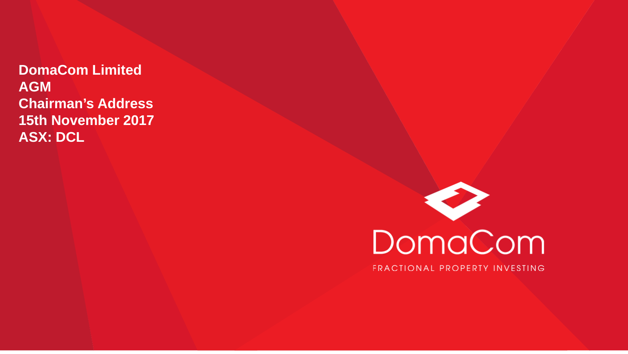**DomaCom Limited AGM Chairman's Address 15th November 2017 ASX: DCL**

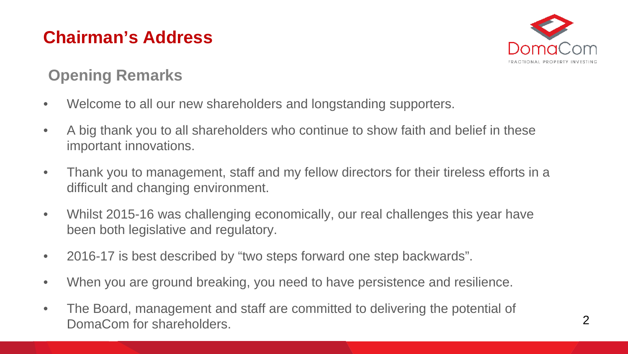

#### **Opening Remarks**

- Welcome to all our new shareholders and longstanding supporters.
- A big thank you to all shareholders who continue to show faith and belief in these important innovations.
- Thank you to management, staff and my fellow directors for their tireless efforts in a difficult and changing environment.
- Whilst 2015-16 was challenging economically, our real challenges this year have been both legislative and regulatory.
- 2016-17 is best described by "two steps forward one step backwards".
- When you are ground breaking, you need to have persistence and resilience.
- The Board, management and staff are committed to delivering the potential of DomaCom for shareholders.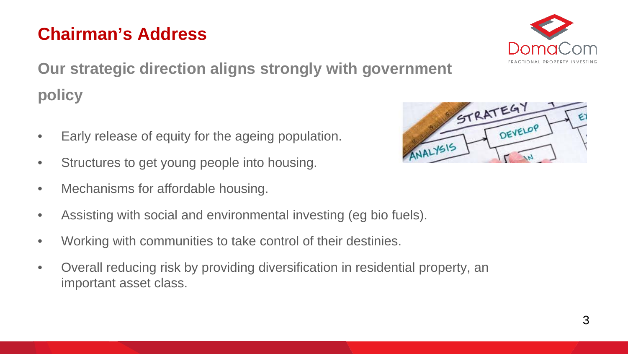

**Our strategic direction aligns strongly with government policy**

- Early release of equity for the ageing population.
- Structures to get young people into housing.
- Mechanisms for affordable housing.
- Assisting with social and environmental investing (eg bio fuels).
- Working with communities to take control of their destinies.
- Overall reducing risk by providing diversification in residential property, an important asset class.

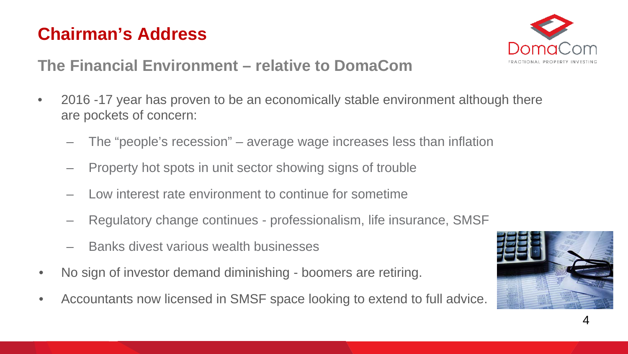

#### **The Financial Environment – relative to DomaCom**

- 2016 -17 year has proven to be an economically stable environment although there are pockets of concern:
	- The "people's recession" average wage increases less than inflation
	- Property hot spots in unit sector showing signs of trouble
	- Low interest rate environment to continue for sometime
	- Regulatory change continues professionalism, life insurance, SMSF
	- Banks divest various wealth businesses
- No sign of investor demand diminishing boomers are retiring.
- Accountants now licensed in SMSF space looking to extend to full advice.

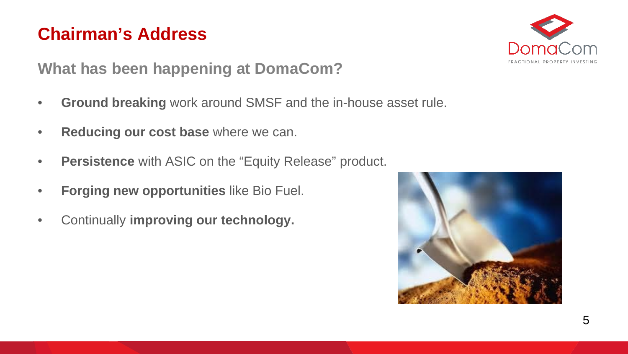

**What has been happening at DomaCom?**

- **Ground breaking** work around SMSF and the in-house asset rule.
- **Reducing our cost base** where we can.
- **Persistence** with ASIC on the "Equity Release" product.
- **Forging new opportunities** like Bio Fuel.
- Continually **improving our technology.**

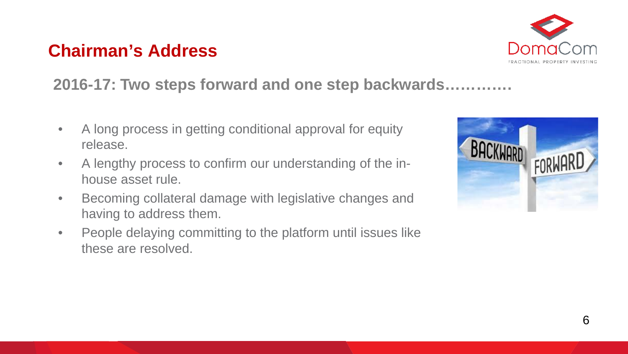

#### **2016-17: Two steps forward and one step backwards………….**

- A long process in getting conditional approval for equity release.
- A lengthy process to confirm our understanding of the inhouse asset rule.
- Becoming collateral damage with legislative changes and having to address them.
- People delaying committing to the platform until issues like these are resolved.

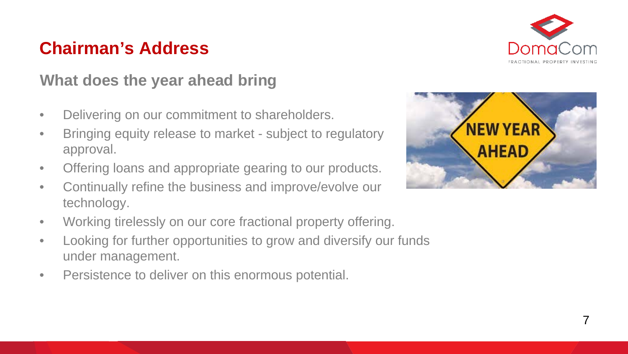

#### **What does the year ahead bring**

- Delivering on our commitment to shareholders.
- Bringing equity release to market subject to regulatory approval.
- Offering loans and appropriate gearing to our products.
- Continually refine the business and improve/evolve our technology.
- Working tirelessly on our core fractional property offering.
- Looking for further opportunities to grow and diversify our funds under management.
- Persistence to deliver on this enormous potential.

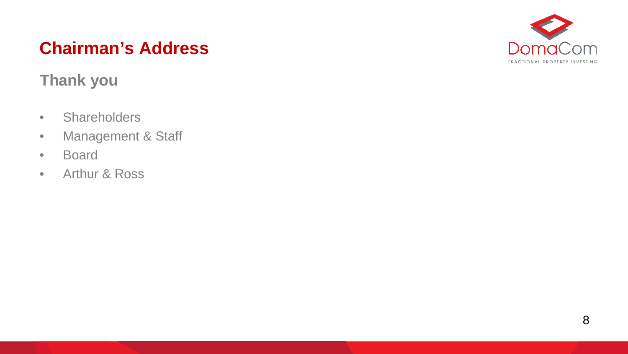#### **Thank you**

- Shareholders
- Management & Staff
- Board
- Arthur & Ross

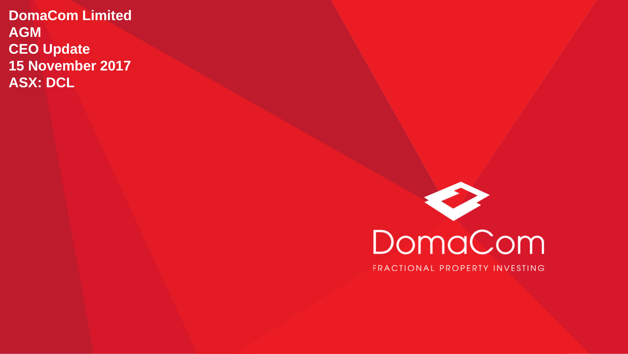**DomaCom Limited AGM CEO Update 15 November 2017 ASX: DCL**

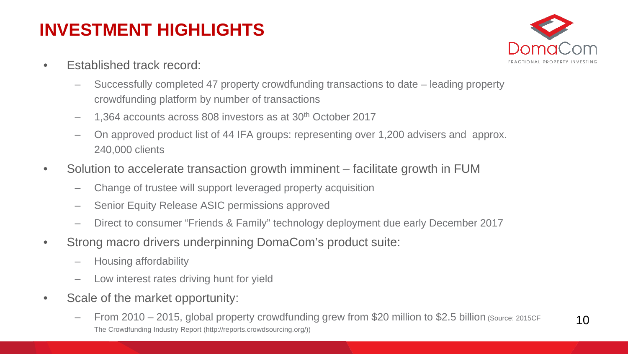# **INVESTMENT HIGHLIGHTS**

- Established track record:
	- Successfully completed 47 property crowdfunding transactions to date leading property crowdfunding platform by number of transactions
	- 1,364 accounts across 808 investors as at 30th October 2017
	- On approved product list of 44 IFA groups: representing over 1,200 advisers and approx. 240,000 clients
- Solution to accelerate transaction growth imminent facilitate growth in FUM
	- Change of trustee will support leveraged property acquisition
	- Senior Equity Release ASIC permissions approved
	- Direct to consumer "Friends & Family" technology deployment due early December 2017
- Strong macro drivers underpinning DomaCom's product suite:
	- Housing affordability
	- Low interest rates driving hunt for yield
- Scale of the market opportunity:
	- From 2010 2015, global property crowdfunding grew from \$20 million to \$2.5 billion (Source: 2015CF The Crowdfunding Industry Report (http://reports.crowdsourcing.org/))



10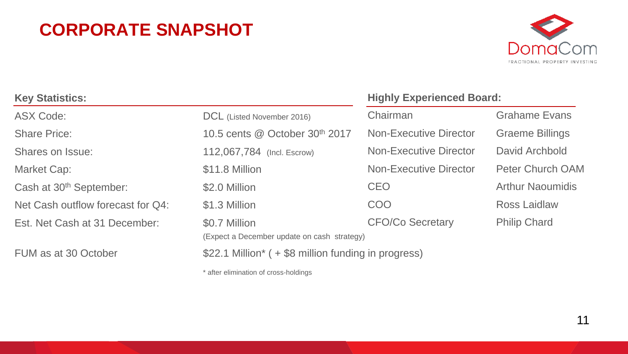### **CORPORATE SNAPSHOT**



| <b>Key Statistics:</b>              |                                                    | <b>Highly Experienced Board:</b> |                         |  |
|-------------------------------------|----------------------------------------------------|----------------------------------|-------------------------|--|
| <b>ASX Code:</b>                    | DCL (Listed November 2016)                         | Chairman                         | <b>Grahame Evans</b>    |  |
| <b>Share Price:</b>                 | 10.5 cents @ October 30th 2017                     | <b>Non-Executive Director</b>    | <b>Graeme Billings</b>  |  |
| Shares on Issue:                    | 112,067,784 (Incl. Escrow)                         | <b>Non-Executive Director</b>    | David Archbold          |  |
| Market Cap:                         | \$11.8 Million                                     | <b>Non-Executive Director</b>    | <b>Peter Church OAM</b> |  |
| Cash at 30 <sup>th</sup> September: | \$2.0 Million                                      | <b>CEO</b>                       | <b>Arthur Naoumidis</b> |  |
| Net Cash outflow forecast for Q4:   | \$1.3 Million                                      | <b>COO</b>                       | Ross Laidlaw            |  |
| Est. Net Cash at 31 December:       | \$0.7 Million                                      | <b>CFO/Co Secretary</b>          | <b>Philip Chard</b>     |  |
|                                     | (Expect a December update on cash strategy)        |                                  |                         |  |
| FUM as at 30 October                | \$22.1 Million* (+\$8 million funding in progress) |                                  |                         |  |

\* after elimination of cross-holdings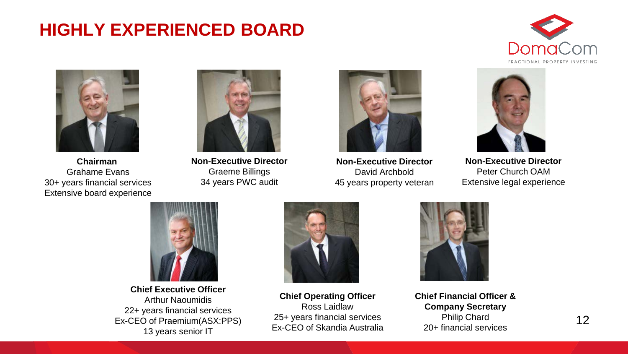### **HIGHLY EXPERIENCED BOARD**





**Chairman**  Grahame Evans 30+ years financial services Extensive board experience



**Non-Executive Director** Graeme Billings 34 years PWC audit



**Non-Executive Director** David Archbold 45 years property veteran



**Non-Executive Director** Peter Church OAM Extensive legal experience



**Chief Executive Officer** Arthur Naoumidis 22+ years financial services Ex-CEO of Praemium(ASX:PPS) 13 years senior IT



**Chief Operating Officer** Ross Laidlaw 25+ years financial services Ex-CEO of Skandia Australia



**Chief Financial Officer & Company Secretary** Philip Chard 20+ financial services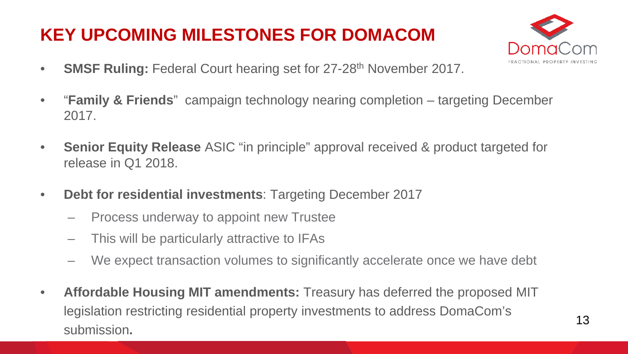# **KEY UPCOMING MILESTONES FOR DOMACOM**



- **SMSF Ruling:** Federal Court hearing set for 27-28<sup>th</sup> November 2017.
- "**Family & Friends**" campaign technology nearing completion targeting December 2017.
- **Senior Equity Release** ASIC "in principle" approval received & product targeted for release in Q1 2018.
- **Debt for residential investments**: Targeting December 2017
	- Process underway to appoint new Trustee
	- This will be particularly attractive to IFAs
	- We expect transaction volumes to significantly accelerate once we have debt
- **Affordable Housing MIT amendments:** Treasury has deferred the proposed MIT legislation restricting residential property investments to address DomaCom's submission**.**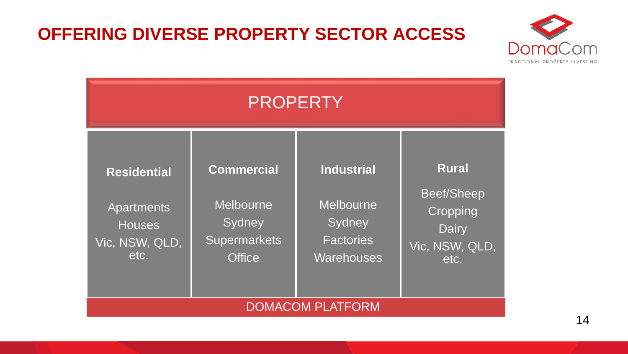#### **OFFERING DIVERSE PROPERTY SECTOR ACCESS**



| <b>PROPERTY</b>                                                             |                                                                                  |                                                                                   |                                                                                  |  |  |
|-----------------------------------------------------------------------------|----------------------------------------------------------------------------------|-----------------------------------------------------------------------------------|----------------------------------------------------------------------------------|--|--|
| <b>Residential</b><br>Apartments<br><b>Houses</b><br>Vic, NSW, QLD,<br>etc. | <b>Commercial</b><br>Melbourne<br>Sydney<br><b>Supermarkets</b><br><b>Office</b> | <b>Industrial</b><br><b>Melbourne</b><br>Sydney<br><b>Factories</b><br>Warehouses | <b>Rural</b><br><b>Beef/Sheep</b><br>Cropping<br>Dairy<br>Vic, NSW, QLD,<br>etc. |  |  |
| <b>DOMACOM PLATFORM</b>                                                     |                                                                                  |                                                                                   |                                                                                  |  |  |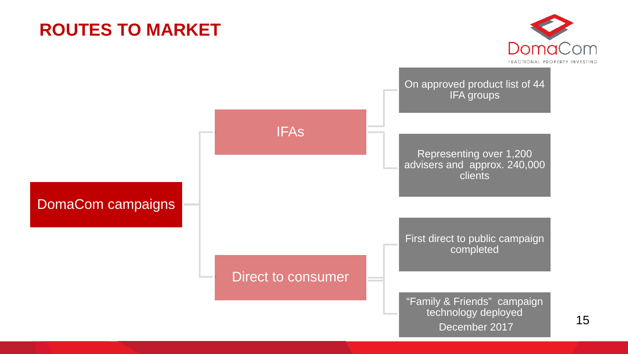### **ROUTES TO MARKET**



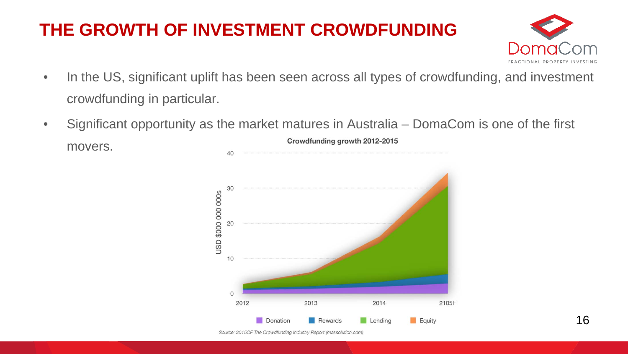## **THE GROWTH OF INVESTMENT CROWDFUNDING**



- In the US, significant uplift has been seen across all types of crowdfunding, and investment crowdfunding in particular.
- Significant opportunity as the market matures in Australia DomaCom is one of the first Crowdfunding growth 2012-2015 movers.

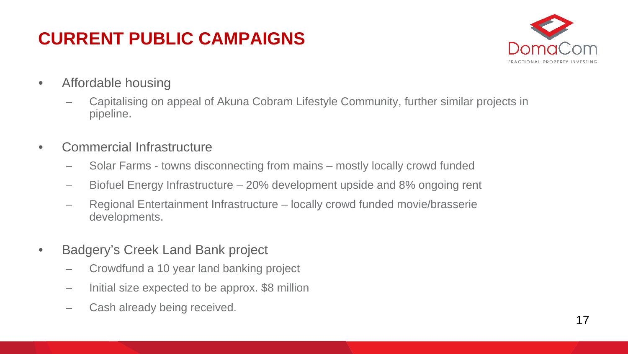# **CURRENT PUBLIC CAMPAIGNS**



- Affordable housing
	- Capitalising on appeal of Akuna Cobram Lifestyle Community, further similar projects in pipeline.
- Commercial Infrastructure
	- Solar Farms towns disconnecting from mains mostly locally crowd funded
	- Biofuel Energy Infrastructure 20% development upside and 8% ongoing rent
	- Regional Entertainment Infrastructure locally crowd funded movie/brasserie developments.
- Badgery's Creek Land Bank project
	- Crowdfund a 10 year land banking project
	- Initial size expected to be approx. \$8 million
	- Cash already being received.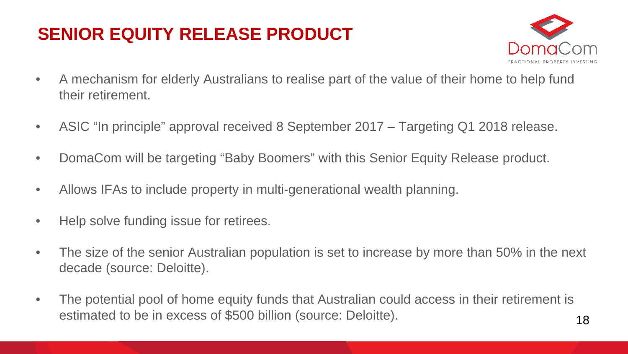# **SENIOR EQUITY RELEASE PRODUCT**



- A mechanism for elderly Australians to realise part of the value of their home to help fund their retirement.
- ASIC "In principle" approval received 8 September 2017 Targeting Q1 2018 release.
- DomaCom will be targeting "Baby Boomers" with this Senior Equity Release product.
- Allows IFAs to include property in multi-generational wealth planning.
- Help solve funding issue for retirees.
- The size of the senior Australian population is set to increase by more than 50% in the next decade (source: Deloitte).
- The potential pool of home equity funds that Australian could access in their retirement is estimated to be in excess of \$500 billion (source: Deloitte).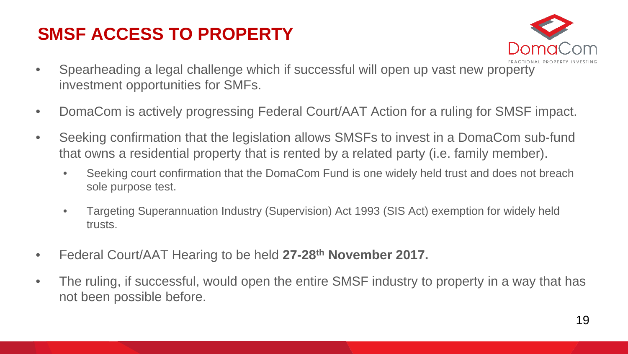### **SMSF ACCESS TO PROPERTY**



- Spearheading a legal challenge which if successful will open up vast new property investment opportunities for SMFs.
- DomaCom is actively progressing Federal Court/AAT Action for a ruling for SMSF impact.
- Seeking confirmation that the legislation allows SMSFs to invest in a DomaCom sub-fund that owns a residential property that is rented by a related party (i.e. family member).
	- Seeking court confirmation that the DomaCom Fund is one widely held trust and does not breach sole purpose test.
	- Targeting Superannuation Industry (Supervision) Act 1993 (SIS Act) exemption for widely held trusts.
- Federal Court/AAT Hearing to be held **27-28th November 2017.**
- The ruling, if successful, would open the entire SMSF industry to property in a way that has not been possible before.